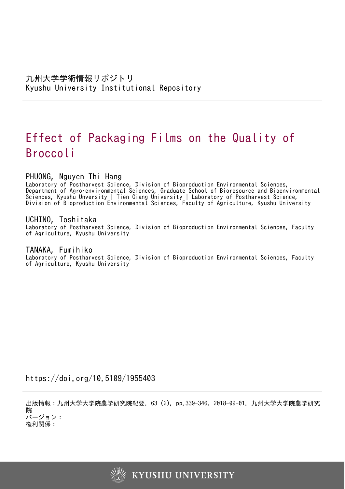# Effect of Packaging Films on the Quality of Broccoli

# PHUONG, Nguyen Thi Hang

Laboratory of Postharvest Science, Division of Bioproduction Environmental Sciences, Department of Agro–environmental Sciences, Graduate School of Bioresource and Bioenvironmental Sciences, Kyushu Unversity | Tien Giang University | Laboratory of Postharvest Science, Division of Bioproduction Environmental Sciences, Faculty of Agriculture, Kyushu University

# UCHINO, Toshitaka

Laboratory of Postharvest Science, Division of Bioproduction Environmental Sciences, Faculty of Agriculture, Kyushu University

# TANAKA, Fumihiko

Laboratory of Postharvest Science, Division of Bioproduction Environmental Sciences, Faculty of Agriculture, Kyushu University

https://doi.org/10.5109/1955403

出版情報:九州大学大学院農学研究院紀要. 63 (2), pp.339-346, 2018-09-01. 九州大学大学院農学研究 院 バージョン:

権利関係:

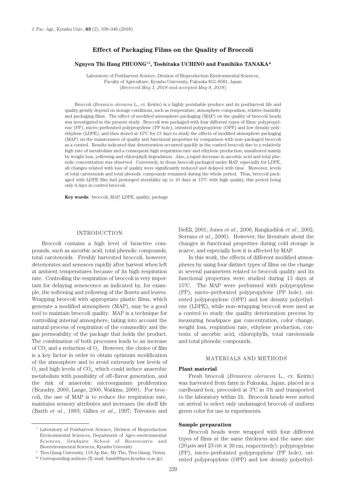# **Effect of Packaging Films on the Quality of Broccoli**

# Nguyen Thi Hang PHUONG<sup>1,2</sup>, Toshitaka UCHINO and Fumihiko TANAKA\*

Laboratory of Postharvest Science, Division of Bioproduction Environmental Sciences, Faculty of Agriculture, Kyushu University, Fukuoka 812–8581, Japan (*Received May 1, 2018 and accepted May 8, 2018*)

Broccoli (*Brassica oleracea* L., cv. Keirin) is a highly perishable produce and its postharvest life and quality greatly depend on storage conditions, such as temperature, atmosphere composition, relative humidity and packaging films. The effect of modified atmosphere packaging (MAP) on the quality of broccoli heads was investigated in the present study. Broccoli was packaged with four different types of films: polypropylene (PP), micro–perforated polypropylene (PP hole), oriented polypropylene (OPP) and low density polyethylene (LDPE), and then stored at 15ºC for 13 days to study the effects of modified atmosphere packaging (MAP) on the maintenance of quality and functional properties by comparison with non–packaged broccoli as a control. Results indicated that deterioration occurred quickly in the control broccoli due to a relatively high rate of metabolism and a consequent high respiration rate and ethylene production, manifested mainly by weight loss, yellowing and chlorophyll degradation. Also, a rapid decrease in ascorbic acid and total phenolic concentration was observed. Conversely, in those broccoli packaged under MAP, especially for LDPE, all changes related with loss of quality were significantly reduced and delayed with time. Moreover, levels of total carotenoids and total phenolic compounds remained during the whole period. Thus, broccoli packaged with LDPE film had prolonged storability up to 10 days at 15ºC with high quality, this period being only 4 days in control broccoli.

**Key words**: broccoli, MAP, LDPE, quality, package

#### INTRODUCTION

Broccoli contains a high level of bioactive compounds, such as ascorbic acid, total phenolic compounds, total carotenoids. Freshly harvested broccoli, however, deteriorates and senesces rapidly after harvest when left at ambient temperatures because of its high respiration rate. Controlling the respiration of broccoli is very important for delaying senescence as indicated by, for example, the softening and yellowing of the florets and leaves. Wrapping broccoli with appropriate plastic films, which generate a modified atmosphere (MAP), may be a good tool to maintain broccoli quality. MAP is a technique for controlling internal atmosphere, taking into account the natural process of respiration of the commodity and the gas permeability of the package that holds the product. The combination of both processes leads to an increase of  $CO<sub>2</sub>$  and a reduction of  $O<sub>2</sub>$ . However, the choice of film is a key factor in order to obtain optimum modification of the atmosphere and to avoid extremely low levels of  $O<sub>2</sub>$  and high levels of  $CO<sub>2</sub>$ , which could induce anaerobic metabolism with possibility of off–flavor generation, and the risk of anaerobic microorganism proliferation (Beaudry, 2000; Lange, 2000; Watkins, 2000). For broccoli, the use of MAP is to reduce the respiration rate, maintains sensory attributes and increases the shelf life (Barth *et al*., 1993; Gillies *et al*., 1997; Toivonen and

\* Corresponding authors (E–mail: fumit@bpes.kyushu–u.ac.jp)

DeEll, 2001; Jones *et al*., 2006; Rangkadilok *et al*., 2002; Serrano *et al*., 2006). However, the literature about the changes in functional properties during cold storage is scarce, and especially how it is affected by MAP.

In this work, the effects of different modified atmospheres by using four distinct types of films on the change in several parameters related to broccoli quality and its functional properties were studied during 13 days at 15ºC. The MAP were performed with polypropylene (PP), micro–perforated polypropylene (PP hole), oriented polypropylene (OPP) and low density polyethylene (LDPE), while non–wrapping broccoli were used as a control to study the quality deterioration process by measuring headspace gas concentration, color change, weight loss, respiration rate, ethylene production, contents of ascorbic acid, chlorophylls, total carotenoids and total phenolic compounds.

#### MATERIALS AND METHODS

#### **Plant material**

Fresh broccoli (*Brassica oleracea* L., cv. Keirin) was harvested from farm in Fukuoka, Japan, placed in a cardboard box, precooled at 3ºC in 3 h and transported to the laboratory within 1h. Broccoli heads were sorted on arrival to select only undamaged broccoli of uniform green color for use in experiments.

#### **Sample preparation**

Broccoli heads were wrapped with four different types of films at the same thickness and the same size  $(20 \,\mu\text{m}$  and  $23 \text{ cm} \times 30 \text{ cm}$ , respectively): polypropylene (PP), micro–perforated polypropylene (PP hole), oriented polypropylene (OPP) and low density polyethyl-

<sup>&</sup>lt;sup>1</sup> Laboratory of Postharvest Science, Division of Bioproduction Environmental Sciences, Department of Agro–environmental Sciences, Graduate School of Bioresource and Bioenvironmental Sciences, Kyushu Unversity

<sup>2</sup> Tien Giang University, 119 Ap Bac, My Tho, Tien Giang, Vietna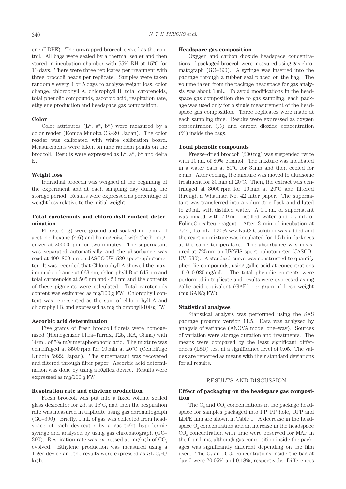ene (LDPE). The unwrapped broccoli served as the control. All bags were sealed by a thermal sealer and then stored in incubation chamber with 55% RH at 15ºC for 13 days. There were three replicates per treatment with three broccoli heads per replicate. Samples were taken randomly every 4 or 5 days to analyze weight loss, color change, chlorophyll A, chlorophyll B, total carotenoids, total phenolic compounds, ascorbic acid, respiration rate, ethylene production and headspace gas composition.

# **Color**

Color attributes  $(L^*, a^*, b^*)$  were measured by a color reader (Konica Minolta CR–20, Japan). The color reader was calibrated with white calibration board. Measurements were taken on nine random points on the broccoli. Results were expressed as L\*, a\*, b\* and delta E.

# **Weight loss**

Individual broccoli was weighed at the beginning of the experiment and at each sampling day during the storage period. Results were expressed as percentage of weight loss relative to the initial weight.

# **Total carotenoids and chlorophyll content determination**

Florets (1 g) were ground and soaked in 15 mL of acetone–hexane (4:6) and homogenized with the homogenizer at 20000 rpm for two minutes. The supernatant was separated automatically and the absorbance was read at 400–800 nm on JASCO UV–530 spectrophotometer. It was recorded that Chlorophyll A showed the maximum absorbance at 663 nm, chlorophyll B at 645 nm and total carotenoids at 505 nm and 453 nm and the contents of these pigments were calculated. Total carotenoids content was estimated as mg/100 g FW. Chlorophyll content was represented as the sum of chlorophyll A and chlorophyll B, and expressed as mg chlorophyll/100 g FW.

#### **Ascorbic acid determination**

Five grams of fresh broccoli florets were homogenized (Homogenizer Ultra–Turrax, T25, IKA, China) with 30 mL of 5% m/v metaphosphoric acid. The mixture was centrifuged at 3500 rpm for 10 min at 20ºC (Centrifuge Kubota 5922, Japan). The supernatant was recovered and filtered through filter paper. Ascorbic acid determination was done by using a RQflex device. Results were expressed as mg/100 g FW.

#### **Respiration rate and ethylene production**

Fresh broccoli was put into a fixed volume sealed glass desiccator for 2 h at 15ºC, and then the respiration rate was measured in triplicate using gas chromatograph (GC–390). Briefly, 1 mL of gas was collected from headspace of each desiccator by a gas–tight hypodermic syringe and analysed by using gas chromatograph (GC– 390). Respiration rate was expressed as mg/kg.h of  $CO<sub>2</sub>$ evolved. Ethylene production was measured using a Tiger device and the results were expressed as  $\mu$ L C<sub>2</sub>H<sub>4</sub>/ kg.h.

#### **Headspace gas composition**

Oxygen and carbon dioxide headspace concentrations of packaged broccoli were measured using gas chromatograph (GC–390). A syringe was inserted into the package through a rubber seal placed on the bag. The volume taken from the package headspace for gas analysis was about 1 mL. To avoid modifications in the headspace gas composition due to gas sampling, each package was used only for a single measurement of the headspace gas composition. Three replicates were made at each sampling time. Results were expressed as oxygen concentration (%) and carbon dioxide concentration (%) inside the bags.

# **Total phenolic compounds**

Freeze–dried broccoli (200 mg) was suspended twice with 10 mL of 80% ethanol. The mixture was incubated in a water bath at 80ºC for 3 min and then cooled for 5 min. After cooling, the mixture was moved to ultrasonic treatment for 30 min at 20ºC. Then, the extract was centrifuged at 3000 rpm for 10 min at 20ºC and filtered through a Whatman No. 42 filter paper. The supernatant was transferred into a volumetric flask and diluted to 20 mL with distilled water. A 0.1 mL of supernatant was mixed with 7.9 mL distilled water and 0.5 mL of FolineCiocalteu reagent. After 3 min of incubation at  $25^{\circ}$ C, 1.5 mL of 20% w/v Na<sub>2</sub>CO<sub>3</sub> solution was added and the reaction mixture was incubated for 1.5 h in darkness at the same temperature. The absorbance was measured at 725 nm on UV/VIS spectrophotometer (JASCO– UV–530). A standard curve was constructed to quantify phenolic compounds, using gallic acid at concentrations of 0–0.025 mg/mL. The total phenolic contents were performed in triplicate and results were expressed as mg gallic acid equivalent (GAE) per gram of fresh weight (mg GAE/g FW).

# **Statistical analyses**

Statistical analysis was performed using the SAS package program version 11.5. Data was analyzed by analysis of variance (ANOVA model one–way). Sources of variation were storage duration and treatments. The means were compared by the least significant differences (LSD) test at a significance level of 0.05. The values are reported as means with their standard deviations for all results.

## RESULTS AND DISCUSSION

## **Effect of packaging on the headspace gas composition**

The  $O<sub>2</sub>$  and  $CO<sub>3</sub>$  concentrations in the package headspace for samples packaged into PP, PP hole, OPP and LDPE film are shown in Table 1. A decrease in the headspace O<sub>2</sub> concentration and an increase in the headspace CO<sub>2</sub> concentration with time were observed for MAP in the four films, although gas composition inside the packages was significantly different depending on the film used. The  $O_2$  and  $CO_2$  concentrations inside the bag at day 0 were 20.05% and 0.18%, respectively. Differences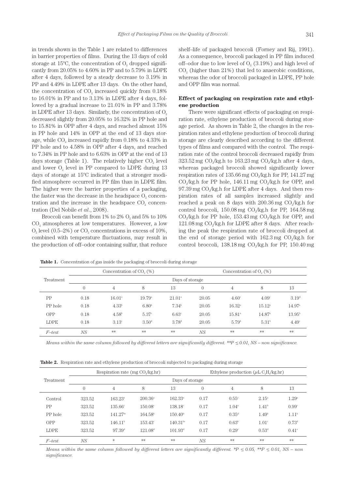in trends shown in the Table 1 are related to differences in barrier properties of films. During the 13 days of cold storage at  $15^{\circ}$ C, the concentration of  $O_{2}$  dropped significantly from 20.05% to 4.60% in PP and to 5.79% in LDPE after 4 days, followed by a steady decrease to 3.19% in PP and 4.49% in LDPE after 13 days. On the other hand, the concentration of  $CO<sub>2</sub>$  increased quickly from 0.18% to 16.01% in PP and to 3.13% in LDPE after 4 days, followed by a gradual increase to 21.01% in PP and 3.78% in LDPE after 13 days. Similarly, the concentration of  $O<sub>2</sub>$ decreased slightly from 20.05% to 16.32% in PP hole and to 15.81% in OPP after 4 days, and reached almost 15% in PP hole and 14% in OPP at the end of 13 days storage, while CO<sub>2</sub> increased rapidly from 0.18% to 4.33% in PP hole and to 4.58% in OPP after 4 days, and reached to 7.34% in PP hole and to 6.63% in OPP at the end of 13 days storage (Table 1). The relatively higher  $CO<sub>2</sub>$  level and lower  $O<sub>2</sub>$  level in PP compared to LDPE during 13 days of storage at 15ºC indicated that a stronger modified atmosphere occurred in PP film than in LDPE film. The higher were the barrier properties of a packaging, the faster was the decrease in the headspace  $O<sub>2</sub>$  concentration and the increase in the headspace  $CO<sub>2</sub>$  concentration (Del Nobile *et al*., 2008).

Broccoli can benefit from  $1\%$  to  $2\%$  O<sub>2</sub> and  $5\%$  to  $10\%$  $CO<sub>2</sub>$  atmospheres at low temperatures. However, a low  $O<sub>2</sub>$  level (0.5–2%) or  $CO<sub>2</sub>$  concentrations in excess of 10%, combined with temperature fluctuations, may result in the production of off–odor containing sulfur, that reduce shelf–life of packaged broccoli (Forney and Rij, 1991). As a consequence, broccoli packaged in PP film induced off–odor due to low level of  $O<sub>2</sub>$  (3.19%) and high level of  $CO<sub>2</sub>$  (higher than 21%) that led to anaerobic conditions, whereas the odor of broccoli packaged in LDPE, PP hole and OPP film was normal.

# **Effect of packaging on respiration rate and ethylene production**

There were significant effects of packaging on respiration rate, ethylene production of broccoli during storage period. As shown in Table 2, the changes in the respiration rates and ethylene production of broccoli during storage are clearly described according to the different types of films and compared with the control. The respiration rate of the control broccoli decreased rapidly from  $323.52$  mg CO<sub>2</sub>/kg.h to  $163.23$  mg CO<sub>2</sub>/kg.h after 4 days, whereas packaged broccoli showed significantly lower respiration rates of  $135.66$  mg CO<sub>2</sub>/kg.h for PP,  $141.27$  mg  $CO$ ./kg.h for PP hole,  $146.11$  mg  $CO$ ./kg.h for OPP, and  $97.39$  mg CO<sub>2</sub>/kg.h for LDPE after 4 days. And then respiration rates of all samples increased slightly and reached a peak on 8 days with  $200.36$  mg  $CO<sub>2</sub>/kg.h$  for control broccoli,  $150.08$  mg CO<sub>2</sub>/kg.h for PP,  $164.58$  mg  $CO<sub>2</sub>/kg.h$  for PP hole,  $153.43$  mg  $CO<sub>2</sub>/kg.h$  for OPP, and 121.08 mg CO<sub>2</sub>/kg.h for LDPE after 8 days. After reaching the peak the respiration rate of broccoli dropped at the end of storage period with  $162.3 \text{ mg } CO_2/\text{kg.h}$  for control broccoli,  $138.18$  mg CO<sub>2</sub>/kg.h for PP,  $150.40$  mg

Table 1. Concentration of gas inside the packaging of broccoli during storage

| Treatment  |                 | Concentration of $CO2(\%)$ |                     |                 |                | Concentration of $O9(\%)$ |                   |                   |  |  |
|------------|-----------------|----------------------------|---------------------|-----------------|----------------|---------------------------|-------------------|-------------------|--|--|
|            | Days of storage |                            |                     |                 |                |                           |                   |                   |  |  |
|            | $\left($        | 4                          | 8                   | 13              | $\overline{0}$ | 4                         | 8                 | 13                |  |  |
| PP         | 0.18            | $16.01^{\circ}$            | $19.79^{\circ}$     | $21.01^{\circ}$ | 20.05          | 4.60 <sup>c</sup>         | 4.09 <sup>c</sup> | 3.19 <sup>d</sup> |  |  |
| PP hole    | 0.18            | $4.33^{b}$                 | 6.80 <sup>b</sup>   | $7.34^{\rm b}$  | 20.05          | $16.32^{\circ}$           | $15.12^{\circ}$   | $14.97^{\circ}$   |  |  |
| <b>OPP</b> | 0.18            | $4.58^{\rm b}$             | $5.37$ <sup>c</sup> | $6.63^{\circ}$  | 20.05          | $15.81^{\circ}$           | $14.87^{\circ}$   | $13.95^{\rm b}$   |  |  |
| LDPE       | 0.18            | $3.13^{\circ}$             | $3.50^{\rm d}$      | $3.78^{\rm d}$  | 20.05          | 5.79 <sup>b</sup>         | 5.31 <sup>b</sup> | 4.49°             |  |  |
| $F$ -test  | NS              | $**$                       | $**$                | **              | NS             | **                        | **                | **                |  |  |

*Means within the same column followed by different letters are significantly different.* \*\* $P \leq 0.01$ , NS – non significance.

**Table 2.** Respiration rate and ethylene production of broccoli subjected to packaging during storage

|             |                 | Respiration rate (mg $CO2/kg/hr$ ) |                  |                  | Ethylene production $(\mu L C_2H / \kappa g \cdot h r)$ |                |                   |                   |  |  |  |
|-------------|-----------------|------------------------------------|------------------|------------------|---------------------------------------------------------|----------------|-------------------|-------------------|--|--|--|
| Treatment   | Days of storage |                                    |                  |                  |                                                         |                |                   |                   |  |  |  |
|             | $\overline{0}$  | 4                                  | 8                | 13               | $\Omega$                                                | 4              | 8                 | 13                |  |  |  |
| Control     | 323.52          | $163.23^{\circ}$                   | $200.36^{\circ}$ | $162.33^{\circ}$ | 0.17                                                    | $0.55^{\circ}$ | $2.15^{\circ}$    | $1.29^{\circ}$    |  |  |  |
| PP          | 323.52          | $135.66^{\circ}$                   | $150.08^{\circ}$ | $138.18^{\circ}$ | 0.17                                                    | $1.04^{\circ}$ | 1.41 <sup>b</sup> | $0.99^{\circ}$    |  |  |  |
| PP hole     | 323.52          | $141.27^{bc}$                      | $164.58^{\circ}$ | $150.40^{\circ}$ | 0.17                                                    | $0.35^{\rm d}$ | 1.49 <sup>b</sup> | 1.11 <sup>b</sup> |  |  |  |
| <b>OPP</b>  | 323.52          | $146.11^{\circ}$                   | $153.43^{\circ}$ | $140.31^{bc}$    | 0.17                                                    | $0.63^{\rm b}$ | $1.01^{\circ}$    | $0.73^{\rm d}$    |  |  |  |
| <b>LDPE</b> | 323.52          | 97.39 <sup>d</sup>                 | $121.08^{\rm d}$ | $101.93^{\rm d}$ | 0.17                                                    | $0.29^{\circ}$ | $0.53^{\rm d}$    | $0.41^\circ$      |  |  |  |
| $F$ -test   | NS              | *                                  | **               | **               | NS                                                      | $**$           | **                | **                |  |  |  |

*Means within the same column followed by different letters are significantly different. \*P*  $\leq 0.05$ *, \*\*P*  $\leq 0.01$ *, NS – non significance.*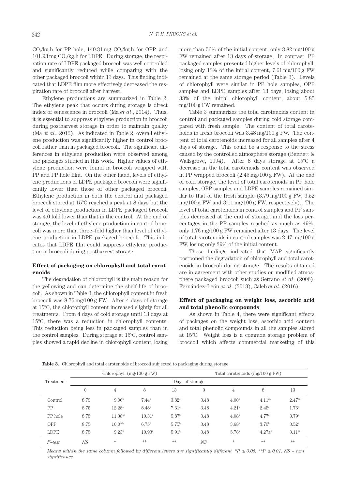$CO<sub>2</sub>/kg.h$  for PP hole, 140.31 mg  $CO<sub>2</sub>/kg.h$  for OPP, and  $101.93$  mg CO<sub>2</sub>/kg.h for LDPE. During storage, the respiration rate of LDPE packaged broccoli was well controlled and significantly reduced while comparing with the other packaged broccoli within 13 days. This finding indicated that LDPE film more effectively decreased the respiration rate of broccoli after harvest.

Ethylene productions are summarized in Table 2. The ethylene peak that occurs during storage is direct index of senescence in broccoli (Ma *et al*., 2014). Thus, it is essential to suppress ethylene production in broccoli during postharvest storage in order to maintain quality (Ma *et al*., 2012). As indicated in Table 2, overall ethylene production was significantly higher in control broccoli rather than in packaged broccoli. The significant differences in ethylene production were observed among the packages studied in this work. Higher values of ethylene production were found in broccoli wrapped with PP and PP hole film. On the other hand, levels of ethylene productions of LDPE packaged broccoli were significantly lower than those of other packaged broccoli. Ethylene production in both the control and packaged broccoli stored at 15ºC reached a peak at 8 days but the level of ethylene production in LDPE packaged broccoli was 4.0 fold lower than that in the control. At the end of storage, the level of ethylene production in control broccoli was more than three–fold higher than level of ethylene production in LDPE packaged broccoli. This indicates that LDPE film could suppress ethylene production in broccoli during postharvest storage.

# **Effect of packaging on chlorophyll and total carotenoids**

The degradation of chlorophyll is the main reason for the yellowing and can determine the shelf life of broccoli. As shown in Table 3, the chlorophyll content in fresh broccoli was 8.75 mg/100 g FW. After 4 days of storage at 15ºC, the chlorophyll content increased slightly for all treatments. From 4 days of cold storage until 13 days at 15ºC, there was a reduction in chlorophyll contents. This reduction being less in packaged samples than in the control samples. During storage at 15ºC, control samples showed a rapid decline in chlorophyll content, losing

more than 56% of the initial content, only 3.82 mg/100 g FW remained after 13 days of storage. In contrast, PP packaged samples presented higher levels of chlorophyll, losing only 13% of the initial content, 7.61 mg/100 g FW remained at the same storage period (Table 3). Levels of chlorophyll were similar in PP hole samples, OPP samples and LDPE samples after 13 days, losing about 33% of the initial chlorophyll content, about 5.85 mg/100 g FW remained.

Table 3 summarizes the total carotenoids content in control and packaged samples during cold storage compared with fresh sample. The content of total carotenoids in fresh broccoli was 3.48 mg/100 g FW. The content of total carotenoids increased for all samples after 4 days of storage. This could be a response to the stress caused by the controlled atmosphere storage (Bennett & Wallsgrove, 1994). After 8 days storage at 15ºC a decrease in the total carotenoids content was observed in PP wrapped broccoli (2.45 mg/100 g FW). At the end of cold storage, the level of total carotenoids in PP hole samples, OPP samples and LDPE samples remained similar to that of the fresh sample  $(3.79 \text{ mg}/100 \text{ g} \text{FW}, 3.52)$ mg/100 g FW and 3.11 mg/100 g FW, respectively). The level of total carotenoids in control samples and PP samples decreased at the end of storage, and the loss percentages in the PP samples reached as much as 49%, only 1.76 mg/100 g FW remained after 13 days. The level of total carotenoids in control samples was 2.47 mg/100 g FW, losing only 29% of the initial content.

These findings indicated that MAP significantly postponed the degradation of chlorophyll and total carotenoids in broccoli during storage. The results obtained are in agreement with other studies on modified atmosphere packaged broccoli such as Serrano *et al*. (2006), Fernández–León *et al*. (2013), Caleb *et al*. (2016).

# **Effect of packaging on weight loss, ascorbic acid and total phenolic compounds**

As shown in Table 4, there were significant effects of packages on the weight loss, ascorbic acid content and total phenolic compounds in all the samples stored at 15ºC. Weight loss is a common storage problem of broccoli which affects commercial marketing of this

**Table 3.** Chlorophyll and total carotenoids of broccoli subjected to packaging during storage

| Treatment   |                 | Chlorophyll (mg/100 g FW) |                   |                     | Total carotenoids $(mg/100 g FW)$ |                   |                    |                    |  |
|-------------|-----------------|---------------------------|-------------------|---------------------|-----------------------------------|-------------------|--------------------|--------------------|--|
|             | Days of storage |                           |                   |                     |                                   |                   |                    |                    |  |
|             | $\overline{0}$  | 4                         | 8                 | 13                  | $\overline{0}$                    | $\overline{4}$    | 8                  | 13                 |  |
| Control     | 8.75            | 9.06 <sup>b</sup>         | $7.44^{\rm b}$    | $3.82^{\circ}$      | 3.48                              | 4.00 <sup>b</sup> | 4.11 <sup>ab</sup> | 2.47 <sup>bc</sup> |  |
| PP          | 8.75            | $12.28^{\circ}$           | 8.48 <sup>b</sup> | $7.61$ <sup>a</sup> | 3.48                              | 4.21 <sup>b</sup> | $2.45^{\circ}$     | $1.76^{\circ}$     |  |
| PP hole     | 8.75            | $11.38^{ab}$              | $10.31^{\circ}$   | 5.87 <sup>b</sup>   | 3.48                              | 4.08 <sup>b</sup> | $4.77^{\circ}$     | $3.79^{a}$         |  |
| <b>OPP</b>  | 8.75            | 10.04a                    | 6.75 <sup>b</sup> | 5.75 <sup>b</sup>   | 3.48                              | $3.68^{\rm b}$    | 3.70 <sup>b</sup>  | $3.52^{\circ}$     |  |
| <b>LDPE</b> | 8.75            | $9.23^{b}$                | $10.93^{\circ}$   | 5.91 <sup>b</sup>   | 3.48                              | $5.78^{\circ}$    | 4.27a <sup>b</sup> | 3.11 <sup>ab</sup> |  |
| $F$ -test   | NS              | *                         | **                | $**$                | NS                                | $\ast$            | **                 | **                 |  |

*Means within the same column followed by different letters are significantly different. \*P*  $\leq 0.05$ *, \*\*P*  $\leq 0.01$ *, NS – non significance.*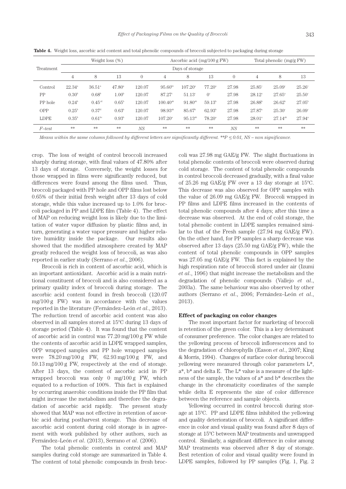|             | Weight $loss(%)$  |                    |                   |                |                      | Ascorbic acid $(mg/100 g FW)$ |                    |          |                    | Total phenolic (mg/g FW) |                 |  |
|-------------|-------------------|--------------------|-------------------|----------------|----------------------|-------------------------------|--------------------|----------|--------------------|--------------------------|-----------------|--|
| Treatment   | Days of storage   |                    |                   |                |                      |                               |                    |          |                    |                          |                 |  |
|             | $\overline{4}$    | 8                  | 13                | $\overline{0}$ | 4                    | 8                             | 13                 | $\theta$ | 4                  | 8                        | 13              |  |
| Control     | $22.34^{\circ}$   | $36.51^{\circ}$    | $47.80^{\circ}$   | 120.07         | $95.60^{bc}$         | $107.20^{\circ}$              | $77.20^{\circ}$    | 27.98    | $25.85^{\circ}$    | $25.09^{\circ}$          | $25.26^{\circ}$ |  |
| PP          | 0.30 <sup>b</sup> | $0.68^{\rm b}$     | 1.00 <sup>b</sup> | 120.07         | $87.27$ <sup>c</sup> | $51.13^{\circ}$               | O <sup>c</sup>     | 27.98    | $28.12^{\circ}$    | $27.65^{\circ}$          | $25.50^{\circ}$ |  |
| PP hole     | $0.24^{\rm b}$    | 0.45 <sup>cd</sup> | $0.65^{\rm b}$    | 120.07         | $100.40^{ab}$        | $91.80^{ab}$                  | 59.13 <sup>b</sup> | 27.98    | 26.88 <sup>b</sup> | $26.62^{\circ}$          | $27.05^{\rm b}$ |  |
| <b>OPP</b>  | $0.25^{\rm b}$    | $0.37^{\rm d}$     | 0.63 <sup>b</sup> | 120.07         | 98.93 <sup>ab</sup>  | 85.67 <sup>b</sup>            | $62.93^{\rm b}$    | 27.98    | $27.87^{\circ}$    | $25.30^{\circ}$          | 26.09°          |  |
| <b>LDPE</b> | $0.35^{\rm b}$    | $0.61^{bc}$        | 0.93 <sup>b</sup> | 120.07         | $107.20^{\circ}$     | $95.13^{ab}$                  | $78.20^{\circ}$    | 27.98    | $28.01^{\circ}$    | $27.14^{ab}$             | $27.94^{\circ}$ |  |
| $F$ -test   | **                | **                 | $**$              | NS.            | $**$                 | **                            | **                 | NS.      | **                 | **                       | **              |  |

**Table 4.** Weight loss, ascorbic acid content and total phenolic compounds of broccoli subjected to packaging during storage

*Means within the same column followed by different letters are significantly different.* \*\* $P \le 0.01$ , NS – non significance.

crop. The loss of weight of control broccoli increased sharply during storage, with final values of 47.80% after 13 days of storage. Conversely, the weight losses for those wrapped in films were significantly reduced, but differences were found among the films used. Thus, broccoli packaged with PP hole and OPP films lost below 0.65% of their initial fresh weight after 13 days of cold storage, while this value increased up to 1.0% for broccoli packaged in PP and LDPE film (Table 4). The effect of MAP on reducing weight loss is likely due to the limitation of water vapor diffusion by plastic films and, in turn, generating a water vapor pressure and higher relative humidity inside the package. Our results also showed that the modified atmosphere created by MAP greatly reduced the weight loss of broccoli, as was also reported in earlier study (Serrano *et al*., 2006).

Broccoli is rich in content of ascorbic acid, which is an important antioxidant. Ascorbic acid is a main nutritional constituent of broccoli and is also considered as a primary quality index of broccoli during storage. The ascorbic acid content found in fresh broccoli (120.07 mg/100 g FW) was in accordance with the values reported in the literature (Fernández–León *et al*., 2013). The reduction trend of ascorbic acid content was also observed in all samples stored at 15ºC during 13 days of storage period (Table 4). It was found that the content of ascorbic acid in control was 77.20 mg/100 g FW while the contents of ascorbic acid in LDPE wrapped samples, OPP wrapped samples and PP hole wrapped samples were 78.20 mg/100 g FW, 62.93 mg/100 g FW, and 59.13 mg/100 g FW, respectively at the end of storage. After 13 days, the content of ascorbic acid in PP wrapped broccoli was only 0 mg/100 g FW, which equated to a reduction of 100%. This fact is explained by occurring anaerobic conditions inside the PP film that might increase the metabolism and therefore the degradation of ascorbic acid rapidly. The present study showed that MAP was not effective in retention of ascorbic acid during postharvest storage. This decrease of ascorbic acid content during cold storage is in agreement with work published by other authors, such as Fernández–León *et al*. (2013), Serrano *et al*. (2006).

The total phenolic contents in control and MAP samples during cold storage are summarized in Table 4. The content of total phenolic compounds in fresh broc-

coli was 27.98 mg GAE/g FW. The slight fluctuations in total phenolic contents of broccoli were observed during cold storage. The content of total phenolic compounds in control broccoli decreased gradually, with a final value of 25.26 mg GAE/g FW over a 13 day storage at 15ºC. This decrease was also observed for OPP samples with the value of 26.09 mg GAE/g FW. Broccoli wrapped in PP films and LDPE films increased in the contents of total phenolic compounds after 4 days; after this time a decrease was observed. At the end of cold storage, the total phenolic content in LDPE samples remained similar to that of the Fresh sample (27.94 mg GAE/g FW). On the other hand, for PP samples a sharp decrease was observed after 13 days (25.50 mg GAE/g FW), while the content of total phenolic compounds in OPP samples was 27.05 mg GAE/g FW. This fact is explained by the high respiration rate of broccoli stored under air (Izumi *et al*., 1996) that might increase the metabolism and the degradation of phenolic compounds (Vallejo *et al*., 2003a). The same behaviour was also observed by other authors (Serrano *et al*., 2006; Fernández–León *et al*., 2013).

#### **Effect of packaging on color changes**

The most important factor for marketing of broccoli is retention of the green color. This is a key determinant of consumer preference. The color changes are related to the yellowing process of broccoli inflorescences and to the degradation of chlorophylls (Eason *et al*., 2007; King & Morris, 1994). Changes of surface color during broccoli yellowing were measured through color parameters L\*, a\*, b\* and delta E. The L\* value is a measure of the lightness of the sample, the values of a\* and b\* describes the change in the chromaticity coordinates of the sample while delta E represents the size of color difference between the reference and sample objects.

Yellowing occurred in control broccoli during storage at 15ºC. PP and LDPE films inhibited the yellowing and quality deterioration of broccoli. A significant difference in color and visual quality was found after 8 days of storage at 15ºC between MAP treatments and unwrapped control. Similarly, a significant difference in color among MAP treatments was observed after 8 day of storage. Best retention of color and visual quality were found in LDPE samples, followed by PP samples (Fig. 1, Fig. 2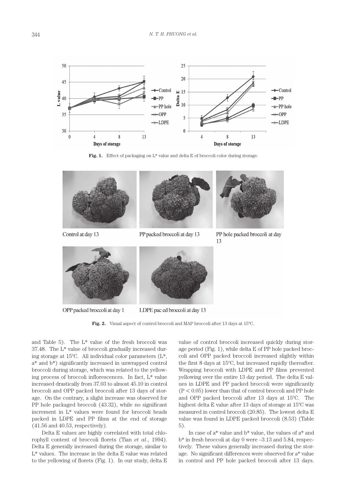

Fig. 1. Effect of packaging on L<sup>\*</sup> value and delta E of broccoli color during storage.



**Fig. 2.** Visual aspect of control broccoli and MAP broccoli after 13 days at 15ºC.

and Table 5). The L\* value of the fresh broccoli was 37.48. The L\* value of broccoli gradually increased during storage at 15ºC. All individual color parameters (L\*, a\* and b\*) significantly increased in unwrapped control broccoli during storage, which was related to the yellowing process of broccoli inflorescences. In fact, L\* value increased drastically from 37.03 to almost 45.10 in control broccoli and OPP packed broccoli after 13 days of storage. On the contrary, a slight increase was observed for PP hole packaged broccoli (43.32), while no significant increment in L\* values were found for broccoli heads packed in LDPE and PP films at the end of storage (41.56 and 40.53, respectively).

Delta E values are highly correlated with total chlorophyll content of broccoli florets (Tian *et al*., 1994). Delta E generally increased during the storage, similar to L\* values. The increase in the delta E value was related to the yellowing of florets (Fig. 1). In our study, delta E

value of control broccoli increased quickly during storage period (Fig. 1), while delta E of PP hole packed broccoli and OPP packed broccoli increased slightly within the first 8 days at 15ºC, but increased rapidly thereafter. Wrapping broccoli with LDPE and PP films prevented yellowing over the entire 13 day period. The delta E values in LDPE and PP packed broccoli were significantly  $(P < 0.05)$  lower than that of control broccoli and PP hole and OPP packed broccoli after 13 days at 15ºC. The highest delta E value after 13 days of storage at 15ºC was measured in control broccoli (20.85). The lowest delta E value was found in LDPE packed broccoli (8.53) (Table 5).

In case of a\* value and b\* value, the values of a\* and b\* in fresh broccoli at day 0 were –3.13 and 5.84, respectively. These values generally increased during the storage. No significant differences were observed for a\* value in control and PP hole packed broccoli after 13 days.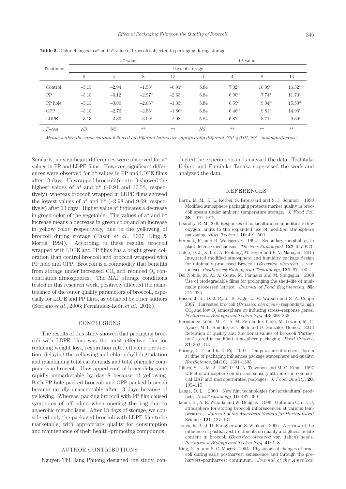|             |                 | $a^*$ value    |                  |                 | $b*$ value |                     |                     |                 |  |  |
|-------------|-----------------|----------------|------------------|-----------------|------------|---------------------|---------------------|-----------------|--|--|
| Treatment   | Days of storage |                |                  |                 |            |                     |                     |                 |  |  |
|             | $\overline{0}$  | $\overline{4}$ | 8                | 13              | $\left($   | 4                   | 8                   | 13              |  |  |
| Control     | $-3.13$         | $-2.94$        | $-1.58^{\circ}$  | $-0.91^{\circ}$ | 5.84       | $7.02^{\circ}$      | $10.99^{\rm a}$     | $16.32^{\circ}$ |  |  |
| PP          | $-3.13$         | $-3.12$        | $-2.97cd$        | $-2.63^{\circ}$ | 5.84       | 6.00 <sup>bc</sup>  | $7.74$ <sup>d</sup> | $11.73^{\circ}$ |  |  |
| PP hole     | $-3.13$         | $-3.00$        | $-2.68^{\rm bc}$ | $-1.33^{\circ}$ | 5.84       | $6.59^{\circ}$      | $9.34^{bc}$         | $15.53^{ab}$    |  |  |
| <b>OPP</b>  | $-3.13$         | $-2.76$        | $-2.55^{\rm b}$  | $-1.86^{\rm b}$ | 5.84       | 6.46a               | 9.81 <sup>b</sup>   | $14.96^{\rm b}$ |  |  |
| <b>LDPE</b> | $-3.13$         | $-3.30$        | $-3.09d$         | $-2.98^{\circ}$ | 5.84       | $5.87$ <sup>c</sup> | $8.71^\circ$        | $9.69^{\rm d}$  |  |  |
| $F$ -test   | NS              | NS             | $**$             | $**$            | NS         | **                  | **                  | **              |  |  |

**Table 5.** Color changes in a<sup>\*</sup> and b<sup>\*</sup> value of broccoli subjected to packaging during storage

*Means within the same column followed by different letters are significantly different.* \*\*P  $\leq$  0.01, NS – non significance.

Similarly, no significant differences were observed for a\* values in PP and LDPE films. However, significant differences were observed for b\* values in PP and LDPE films after 13 days. Unwrapped broccoli (control) showed the highest values of  $a^*$  and  $b^*$  (-0.91 and 16.32, respectively), whereas broccoli wrapped in LDPE films showed the lowest values of  $a^*$  and  $b^*$  ( $-2.98$  and 9.69, respectively) after 13 days. Higher value a\* indicates a decrease in green color of the vegetable. The values of a\* and b\* increase means a decrease in green color and an increase in yellow color, respectively, due to the yellowing of broccoli during storage (Eason *et al*., 2007; King & Morris, 1994). According to these results, broccoli wrapped with LDPE and PP films has a bright green coloration than control broccoli and broccoli wrapped with PP hole and OPP. Broccoli is a commodity that benefits from storage under increased  $CO<sub>2</sub>$  and reduced  $O<sub>2</sub>$  concentration atmospheres. The MAP storage conditions tested in this research work, positively affected the maintenance of the outer quality parameters of broccoli, especially for LDPE and PP films, as obtained by other authors (Serrano *et al*., 2006; Fernández–León *et al*., 2013).

#### CONCLUSIONS

The results of this study showed that packaging broccoli with LDPE films was the most effective film for reducing weight loss, respiration rate, ethylene production, delaying the yellowing and chlorophyll degradation and maintaining total carotenoids and total phenolic compounds in broccoli. Unwrapped control broccoli became rapidly unmarketable by day 8 because of yellowing. Both PP hole packed broccoli and OPP packed broccoli became rapidly unacceptable after 13 days because of yellowing. Whereas, packing broccoli with PP film caused symptoms of off–odors when opening the bag due to anaerobic metabolisms. After 13 days of storage, we considered only the packaged broccoli with LDPE film to be marketable, with appropriate quality for consumption and maintenance of their health–promoting compounds.

# AUTHOR CONTRIBUTIONS

Nguyen Thi Hang Phuong designed the study, con-

ducted the experiments and analyzed the data. Toshitaka Uchino and Fumihiko Tanaka supervised the work and analyzed the data.

#### REFERENCES

- Barth, M. M., E. L. Kerbei, S. Broussard and S. J. Schmidt 1993 Modified atmosphere packaging protects market quality in broccoli spears under ambient temperature storage. *J. Food Sci*. **58**: 1070–1072
- Beaudry, R. M. 2000 Responses of horticultural commodities to low oxygen: limits to the expanded use of modified atmosphere packaging. *Hort. Technol*. **10**: 491–500
- Bennett, R., and R. Wallsgrove 1994 Secondary metabolites in plant defence mechanisms. *The New Phytologist*, **127**: 617–633
- Caleb, O. J., K. Ilte, A. Fröhling, M. Geyer and P. V. Mahajan 2016 Integrated modified atmosphere and humidity package design for minimally processed Broccoli (*Brassica oleracea* L. var. italica). *Postharvest Biology and Technology*, **121**: 87–100
- Del Nobile, M. A., A. Conte, M. Cannarsi and M. Sinigaglia 2008 Use of biodegradable films for prolonging the shelf–life of minimally processed lettuce. *Journal of Food Engineering*, **85**: 317–325
- Eason, J. R., D. J. Ryan, B. Page, L. M. Watson and S. A. Coupe 2007 Harvested broccoli (*Brassica oleraceae*) responds to high CO<sub>2</sub> and low O<sub>2</sub> atmosphere by inducing stress–response genes. *Postharvest Biology and Technology*, **43**: 358–365
- Fernández–León, M. F., A. M. Fernández–León, M. Lozano, M. C. Ayuso, M. L. Amodio, G. Colelli and D. González–Gómez 2013 Retention of quality and functional values of broccoli 'Parthenon' stored in modified atmosphere packaging. *Food Control*, **31**: 302–313
- Forney, C. F. and R. E. Rij 1991 Temperature of broccoli florets at time of packaging influences package atmosphere and quality. *HortScience*, **24**(10): 1301–1303
- Gillies, S. L., M. A. Cliff, P. M. A. Toivonen and M. C. King 1997 Effect of atmosphere on broccoli sensory attributes in commercial MAP and microperforated packages. *J. Food Quality*, **20**: 105–115
- Lange, D. L. 2000 New film technologies for horticultural products. *HortTechnology*, **10**: 487–490
- Izumi, H., A. E. Watada and W. Douglas  $1996$  Optimum O<sub>2</sub> or CO<sub>2</sub> atmosphere for storing broccoli inflorescences at various temperatures. *Journal of the American Society for Horticultural*  Science, **121**: 127–131
- Jones, R. B., J. D. Faragher and S. Winkler 2006 A review of the influence of postharvest treatments on quality and glucosinolate content in broccoli (*Brassica oleracea* var. italica) heads. *Postharvest Biology and Technology*, **41**: 1–8
- King, G. A. and S. C. Morris 1994 Physiological changes of broccoli during early postharvest senescence and through the preharvest–postharvest continuum. *Journal of the American*